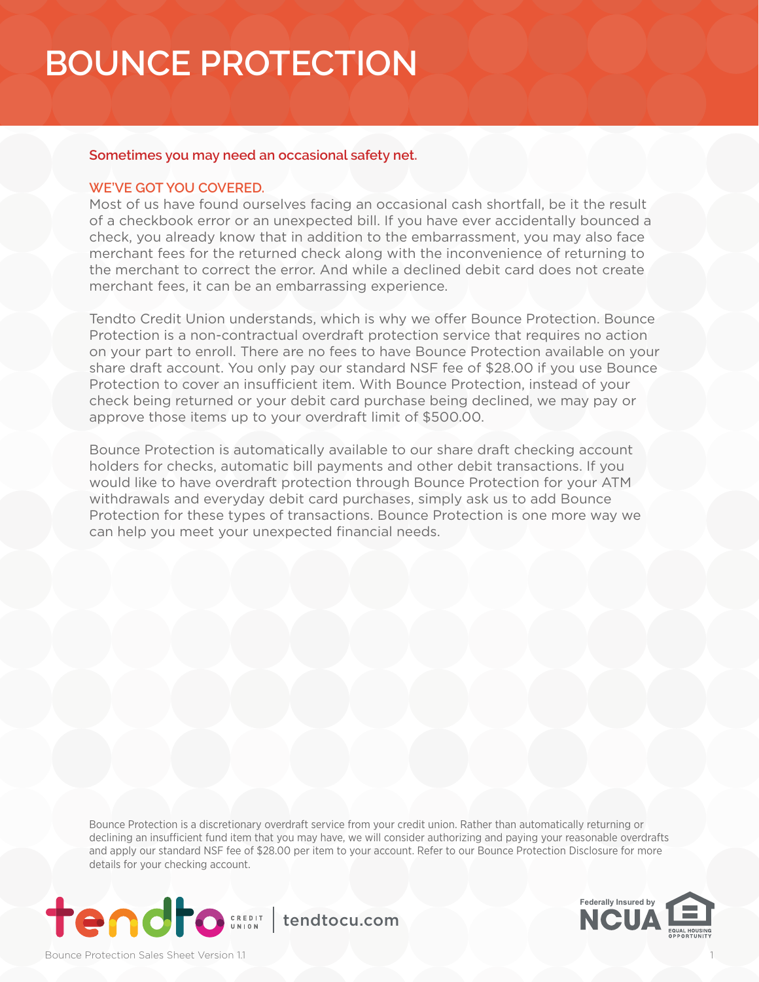#### **Sometimes you may need an occasional safety net.**

#### **WE'VE GOT YOU COVERED.**

Most of us have found ourselves facing an occasional cash shortfall, be it the result of a checkbook error or an unexpected bill. If you have ever accidentally bounced a check, you already know that in addition to the embarrassment, you may also face merchant fees for the returned check along with the inconvenience of returning to the merchant to correct the error. And while a declined debit card does not create merchant fees, it can be an embarrassing experience.

Tendto Credit Union understands, which is why we offer Bounce Protection. Bounce Protection is a non-contractual overdraft protection service that requires no action on your part to enroll. There are no fees to have Bounce Protection available on your share draft account. You only pay our standard NSF fee of \$28.00 if you use Bounce Protection to cover an insufficient item. With Bounce Protection, instead of your check being returned or your debit card purchase being declined, we may pay or approve those items up to your overdraft limit of \$500.00.

Bounce Protection is automatically available to our share draft checking account holders for checks, automatic bill payments and other debit transactions. If you would like to have overdraft protection through Bounce Protection for your ATM withdrawals and everyday debit card purchases, simply ask us to add Bounce Protection for these types of transactions. Bounce Protection is one more way we can help you meet your unexpected financial needs.

Bounce Protection is a discretionary overdraft service from your credit union. Rather than automatically returning or declining an insufficient fund item that you may have, we will consider authorizing and paying your reasonable overdrafts and apply our standard NSF fee of \$28.00 per item to your account. Refer to our Bounce Protection Disclosure for more details for your checking account.



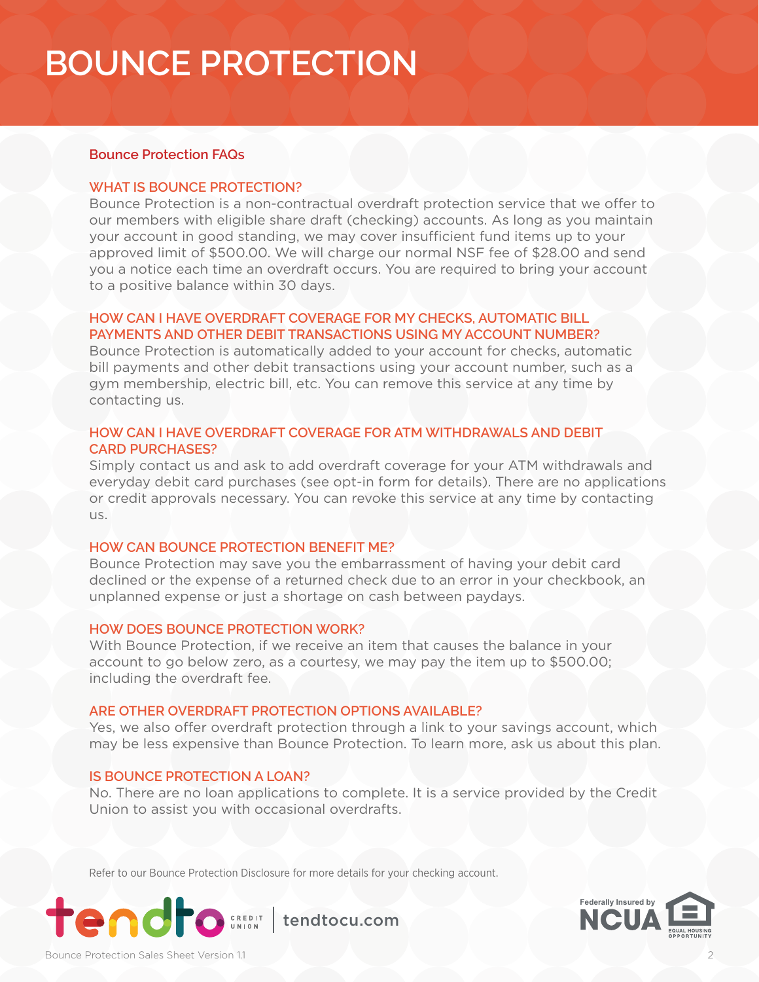#### **Bounce Protection FAQs**

#### **WHAT IS BOUNCE PROTECTION?**

Bounce Protection is a non-contractual overdraft protection service that we offer to our members with eligible share draft (checking) accounts. As long as you maintain your account in good standing, we may cover insufficient fund items up to your approved limit of \$500.00. We will charge our normal NSF fee of \$28.00 and send you a notice each time an overdraft occurs. You are required to bring your account to a positive balance within 30 days.

#### **HOW CAN I HAVE OVERDRAFT COVERAGE FOR MY CHECKS, AUTOMATIC BILL PAYMENTS AND OTHER DEBIT TRANSACTIONS USING MY ACCOUNT NUMBER?**

Bounce Protection is automatically added to your account for checks, automatic bill payments and other debit transactions using your account number, such as a gym membership, electric bill, etc. You can remove this service at any time by contacting us.

#### **HOW CAN I HAVE OVERDRAFT COVERAGE FOR ATM WITHDRAWALS AND DEBIT CARD PURCHASES?**

Simply contact us and ask to add overdraft coverage for your ATM withdrawals and everyday debit card purchases (see opt-in form for details). There are no applications or credit approvals necessary. You can revoke this service at any time by contacting us.

#### **HOW CAN BOUNCE PROTECTION BENEFIT ME?**

Bounce Protection may save you the embarrassment of having your debit card declined or the expense of a returned check due to an error in your checkbook, an unplanned expense or just a shortage on cash between paydays.

#### **HOW DOES BOUNCE PROTECTION WORK?**

With Bounce Protection, if we receive an item that causes the balance in your account to go below zero, as a courtesy, we may pay the item up to \$500.00; including the overdraft fee.

#### **ARE OTHER OVERDRAFT PROTECTION OPTIONS AVAILABLE?**

Yes, we also offer overdraft protection through a link to your savings account, which may be less expensive than Bounce Protection. To learn more, ask us about this plan.

#### **IS BOUNCE PROTECTION A LOAN?**

No. There are no loan applications to complete. It is a service provided by the Credit Union to assist you with occasional overdrafts.

Refer to our Bounce Protection Disclosure for more details for your checking account.



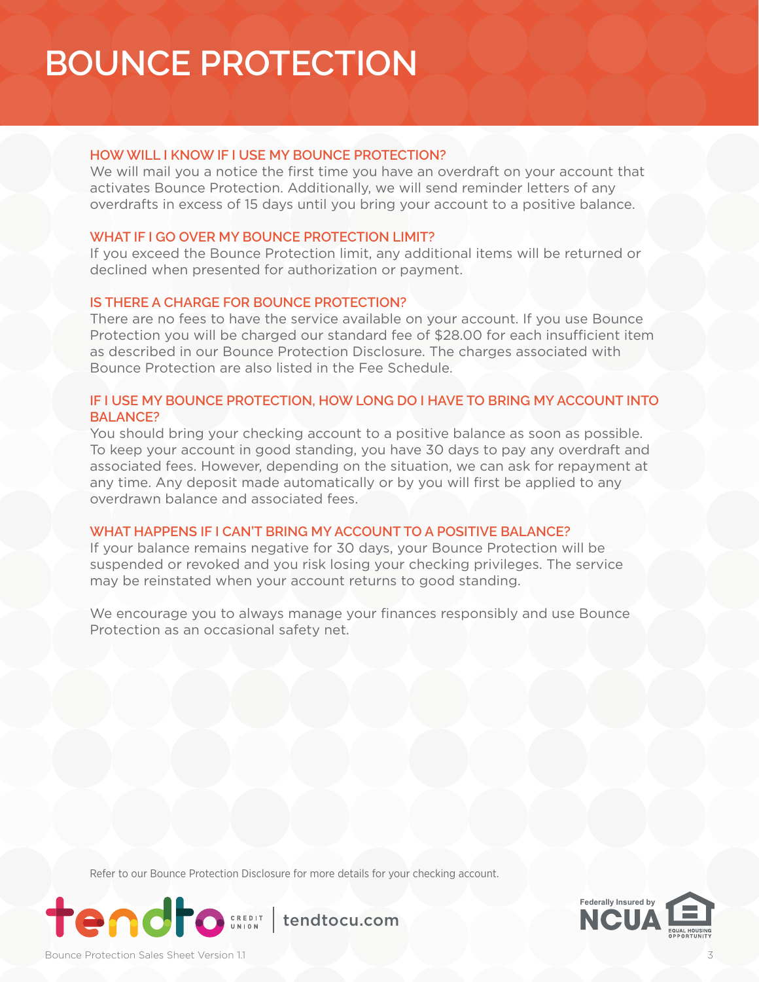## **HOW WILL I KNOW IF I USE MY BOUNCE PROTECTION?**

We will mail you a notice the first time you have an overdraft on your account that activates Bounce Protection. Additionally, we will send reminder letters of any overdrafts in excess of 15 days until you bring your account to a positive balance.

## **WHAT IF I GO OVER MY BOUNCE PROTECTION LIMIT?**

If you exceed the Bounce Protection limit, any additional items will be returned or declined when presented for authorization or payment.

## **IS THERE A CHARGE FOR BOUNCE PROTECTION?**

There are no fees to have the service available on your account. If you use Bounce Protection you will be charged our standard fee of \$28.00 for each insufficient item as described in our Bounce Protection Disclosure. The charges associated with Bounce Protection are also listed in the Fee Schedule.

## **IF I USE MY BOUNCE PROTECTION, HOW LONG DO I HAVE TO BRING MY ACCOUNT INTO BALANCE?**

You should bring your checking account to a positive balance as soon as possible. To keep your account in good standing, you have 30 days to pay any overdraft and associated fees. However, depending on the situation, we can ask for repayment at any time. Any deposit made automatically or by you will first be applied to any overdrawn balance and associated fees.

### **WHAT HAPPENS IF I CAN'T BRING MY ACCOUNT TO A POSITIVE BALANCE?**

If your balance remains negative for 30 days, your Bounce Protection will be suspended or revoked and you risk losing your checking privileges. The service may be reinstated when your account returns to good standing.

We encourage you to always manage your finances responsibly and use Bounce Protection as an occasional safety net.

Refer to our Bounce Protection Disclosure for more details for your checking account.